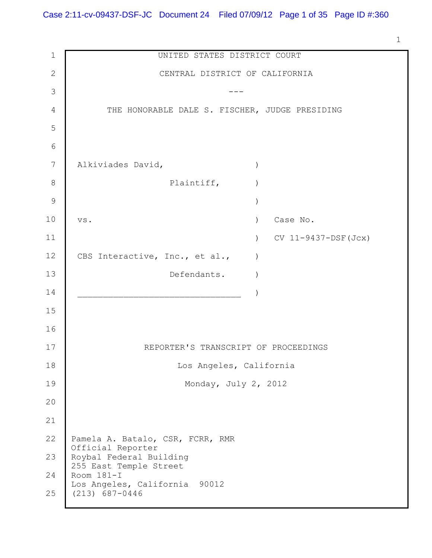1

| $\mathbf 1$  | UNITED STATES DISTRICT COURT                           |
|--------------|--------------------------------------------------------|
| $\mathbf{2}$ | CENTRAL DISTRICT OF CALIFORNIA                         |
| 3            |                                                        |
| 4            | THE HONORABLE DALE S. FISCHER, JUDGE PRESIDING         |
| 5            |                                                        |
| 6            |                                                        |
| 7            | Alkiviades David,                                      |
| 8            | Plaintiff,                                             |
| 9            |                                                        |
| 10           | Case No.<br>$\lambda$<br>VS.                           |
| 11           | $CV 11-9437-DSF(Jcx)$<br>$\left( \right)$              |
| 12           | CBS Interactive, Inc., et al.,                         |
| 13           | Defendants.                                            |
| 14           |                                                        |
| 15           |                                                        |
| 16           |                                                        |
| 17           | REPORTER'S TRANSCRIPT OF PROCEEDINGS                   |
| 18           | Los Angeles, California                                |
| 19           | Monday, July 2, 2012                                   |
| 20           |                                                        |
| 21           |                                                        |
| 22           | Pamela A. Batalo, CSR, FCRR, RMR                       |
| 23           | Official Reporter<br>Roybal Federal Building           |
| 24           | 255 East Temple Street<br>Room 181-I                   |
| 25           | Los Angeles, California<br>90012<br>$(213) 687 - 0446$ |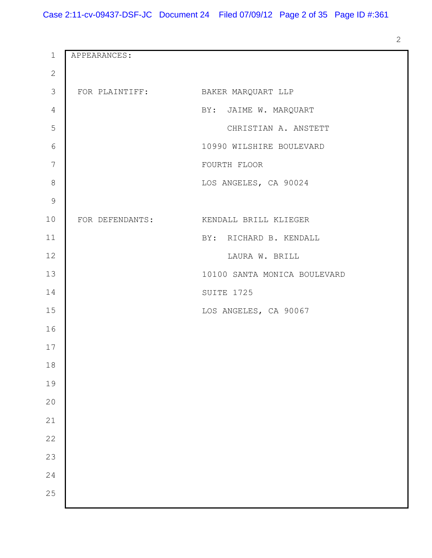APPEARANCES: FOR PLAINTIFF: BAKER MARQUART LLP BY: JAIME W. MARQUART CHRISTIAN A. ANSTETT WILSHIRE BOULEVARD FOURTH FLOOR LOS ANGELES, CA 90024 FOR DEFENDANTS: KENDALL BRILL KLIEGER BY: RICHARD B. KENDALL LAURA W. BRILL SANTA MONICA BOULEVARD SUITE 1725 LOS ANGELES, CA 90067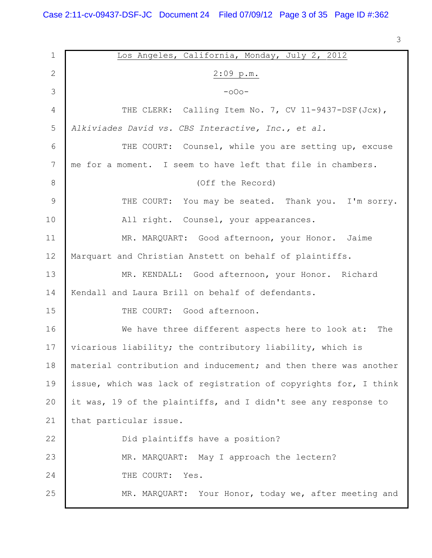| $\mathbf 1$     | Los Angeles, California, Monday, July 2, 2012                    |
|-----------------|------------------------------------------------------------------|
| 2               | $2:09$ p.m.                                                      |
| 3               | $-000-$                                                          |
| 4               | THE CLERK: Calling Item No. 7, CV 11-9437-DSF (Jcx),             |
| 5               | Alkiviades David vs. CBS Interactive, Inc., et al.               |
| 6               | THE COURT: Counsel, while you are setting up, excuse             |
| $7\phantom{.0}$ | me for a moment. I seem to have left that file in chambers.      |
| 8               | (Off the Record)                                                 |
| 9               | THE COURT: You may be seated. Thank you. I'm sorry.              |
| 10              | All right. Counsel, your appearances.                            |
| 11              | MR. MARQUART: Good afternoon, your Honor. Jaime                  |
| 12              | Marquart and Christian Anstett on behalf of plaintiffs.          |
| 13              | MR. KENDALL: Good afternoon, your Honor. Richard                 |
| 14              | Kendall and Laura Brill on behalf of defendants.                 |
| 15              | THE COURT: Good afternoon.                                       |
| 16              | We have three different aspects here to look at:<br>The          |
| 17              | vicarious liability; the contributory liability, which is        |
| 18              | material contribution and inducement; and then there was another |
| 19              | issue, which was lack of registration of copyrights for, I think |
| 20              | it was, 19 of the plaintiffs, and I didn't see any response to   |
| 21              | that particular issue.                                           |
| 22              | Did plaintiffs have a position?                                  |
| 23              | MR. MARQUART: May I approach the lectern?                        |
| 24              | THE COURT:<br>Yes.                                               |
| 25              | MR. MARQUART: Your Honor, today we, after meeting and            |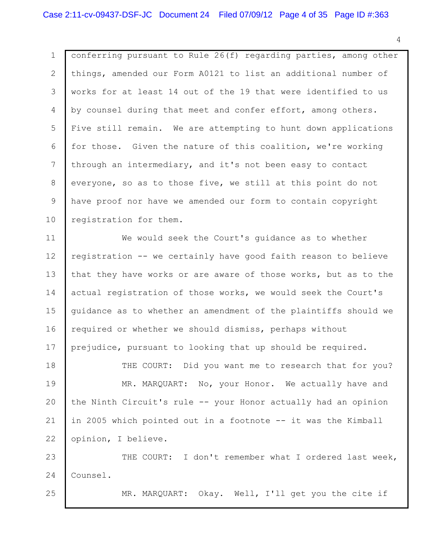1 2 3 4 5 6 7 8 9 10 conferring pursuant to Rule 26(f) regarding parties, among other things, amended our Form A0121 to list an additional number of works for at least 14 out of the 19 that were identified to us by counsel during that meet and confer effort, among others. Five still remain. We are attempting to hunt down applications for those. Given the nature of this coalition, we're working through an intermediary, and it's not been easy to contact everyone, so as to those five, we still at this point do not have proof nor have we amended our form to contain copyright registration for them.

11 12 13 14 15 16 17 We would seek the Court's guidance as to whether registration -- we certainly have good faith reason to believe that they have works or are aware of those works, but as to the actual registration of those works, we would seek the Court's guidance as to whether an amendment of the plaintiffs should we required or whether we should dismiss, perhaps without prejudice, pursuant to looking that up should be required.

18 19 20 21 22 THE COURT: Did you want me to research that for you? MR. MARQUART: No, your Honor. We actually have and the Ninth Circuit's rule -- your Honor actually had an opinion in 2005 which pointed out in a footnote -- it was the Kimball opinion, I believe.

23 24 THE COURT: I don't remember what I ordered last week, Counsel.

25

MR. MARQUART: Okay. Well, I'll get you the cite if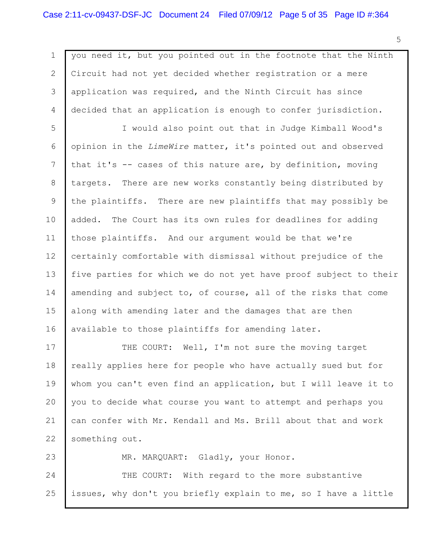1 2 3 4 5 6 7 8 9 10 11 12 13 14 15 16 17 18 you need it, but you pointed out in the footnote that the Ninth Circuit had not yet decided whether registration or a mere application was required, and the Ninth Circuit has since decided that an application is enough to confer jurisdiction. I would also point out that in Judge Kimball Wood's opinion in the *LimeWire* matter, it's pointed out and observed that it's -- cases of this nature are, by definition, moving targets. There are new works constantly being distributed by the plaintiffs. There are new plaintiffs that may possibly be added. The Court has its own rules for deadlines for adding those plaintiffs. And our argument would be that we're certainly comfortable with dismissal without prejudice of the five parties for which we do not yet have proof subject to their amending and subject to, of course, all of the risks that come along with amending later and the damages that are then available to those plaintiffs for amending later. THE COURT: Well, I'm not sure the moving target really applies here for people who have actually sued but for

19 20 21 22 whom you can't even find an application, but I will leave it to you to decide what course you want to attempt and perhaps you can confer with Mr. Kendall and Ms. Brill about that and work something out.

23 24 25 MR. MARQUART: Gladly, your Honor. THE COURT: With regard to the more substantive issues, why don't you briefly explain to me, so I have a little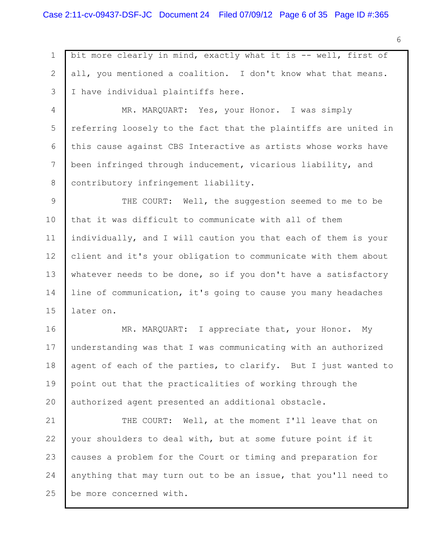1 2 3 bit more clearly in mind, exactly what it is -- well, first of all, you mentioned a coalition. I don't know what that means. I have individual plaintiffs here.

4 5 6 7 8 MR. MARQUART: Yes, your Honor. I was simply referring loosely to the fact that the plaintiffs are united in this cause against CBS Interactive as artists whose works have been infringed through inducement, vicarious liability, and contributory infringement liability.

9 10 11 12 13 14 15 THE COURT: Well, the suggestion seemed to me to be that it was difficult to communicate with all of them individually, and I will caution you that each of them is your client and it's your obligation to communicate with them about whatever needs to be done, so if you don't have a satisfactory line of communication, it's going to cause you many headaches later on.

16 17 18 19 20 MR. MARQUART: I appreciate that, your Honor. My understanding was that I was communicating with an authorized agent of each of the parties, to clarify. But I just wanted to point out that the practicalities of working through the authorized agent presented an additional obstacle.

21 22 23 24 25 THE COURT: Well, at the moment I'll leave that on your shoulders to deal with, but at some future point if it causes a problem for the Court or timing and preparation for anything that may turn out to be an issue, that you'll need to be more concerned with.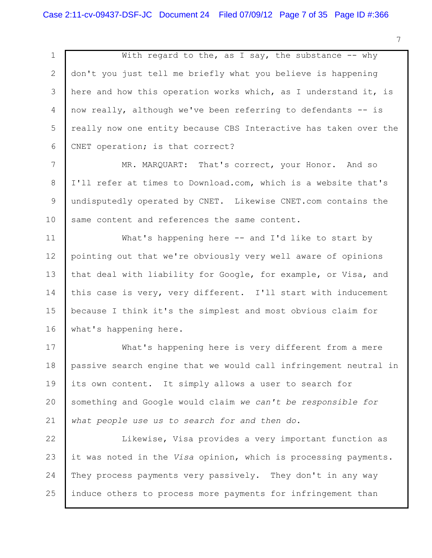1 2 3 4 5 6 With regard to the, as I say, the substance  $-$  why don't you just tell me briefly what you believe is happening here and how this operation works which, as I understand it, is now really, although we've been referring to defendants -- is really now one entity because CBS Interactive has taken over the CNET operation; is that correct?

7 8 9 10 MR. MARQUART: That's correct, your Honor. And so I'll refer at times to Download.com, which is a website that's undisputedly operated by CNET. Likewise CNET.com contains the same content and references the same content.

11 12 13 14 15 16 What's happening here -- and I'd like to start by pointing out that we're obviously very well aware of opinions that deal with liability for Google, for example, or Visa, and this case is very, very different. I'll start with inducement because I think it's the simplest and most obvious claim for what's happening here.

17 18 19 20 21 What's happening here is very different from a mere passive search engine that we would call infringement neutral in its own content. It simply allows a user to search for something and Google would claim *we can't be responsible for what people use us to search for and then do*.

22 23 24 25 Likewise, Visa provides a very important function as it was noted in the *Visa* opinion, which is processing payments. They process payments very passively. They don't in any way induce others to process more payments for infringement than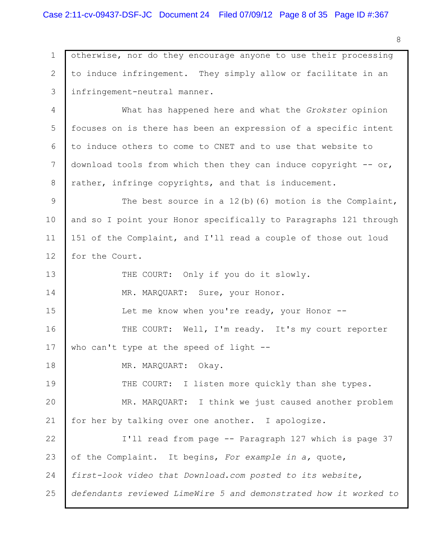1 2 3 otherwise, nor do they encourage anyone to use their processing to induce infringement. They simply allow or facilitate in an infringement-neutral manner.

4 5 6 7 8 What has happened here and what the *Grokster* opinion focuses on is there has been an expression of a specific intent to induce others to come to CNET and to use that website to download tools from which then they can induce copyright  $-$  or, rather, infringe copyrights, and that is inducement.

9 10 11 12 The best source in a 12(b)(6) motion is the Complaint, and so I point your Honor specifically to Paragraphs 121 through 151 of the Complaint, and I'll read a couple of those out loud for the Court.

13 14 15 16 17 18 19 20 21 22 23 24 25 THE COURT: Only if you do it slowly. MR. MARQUART: Sure, your Honor. Let me know when you're ready, your Honor --THE COURT: Well, I'm ready. It's my court reporter who can't type at the speed of light  $-$ -MR. MARQUART: Okay. THE COURT: I listen more quickly than she types. MR. MARQUART: I think we just caused another problem for her by talking over one another. I apologize. I'll read from page -- Paragraph 127 which is page 37 of the Complaint. It begins, *For example in a,* quote, *first-look video that Download.com posted to its website, defendants reviewed LimeWire 5 and demonstrated how it worked to*

8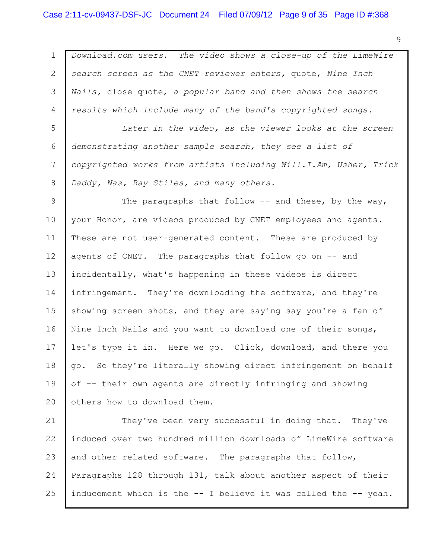## Case 2:11-cv-09437-DSF-JC Document 24 Filed 07/09/12 Page 9 of 35 Page ID #:368

1 2 3 4 5 6 7 8 9 10 11 12 13 14 15 16 17 18 19 20 21 *Download.com users. The video shows a close-up of the LimeWire search screen as the CNET reviewer enters,* quote, *Nine Inch Nails,* close quote, *a popular band and then shows the search results which include many of the band's copyrighted songs. Later in the video, as the viewer looks at the screen demonstrating another sample search, they see a list of copyrighted works from artists including Will.I.Am, Usher, Trick Daddy, Nas, Ray Stiles, and many others.* The paragraphs that follow  $-$  and these, by the way, your Honor, are videos produced by CNET employees and agents. These are not user-generated content. These are produced by agents of CNET. The paragraphs that follow go on -- and incidentally, what's happening in these videos is direct infringement. They're downloading the software, and they're showing screen shots, and they are saying say you're a fan of Nine Inch Nails and you want to download one of their songs, let's type it in. Here we go. Click, download, and there you go. So they're literally showing direct infringement on behalf of -- their own agents are directly infringing and showing others how to download them. They've been very successful in doing that. They've

22 23 24 25 induced over two hundred million downloads of LimeWire software and other related software. The paragraphs that follow, Paragraphs 128 through 131, talk about another aspect of their inducement which is the -- I believe it was called the -- yeah.

9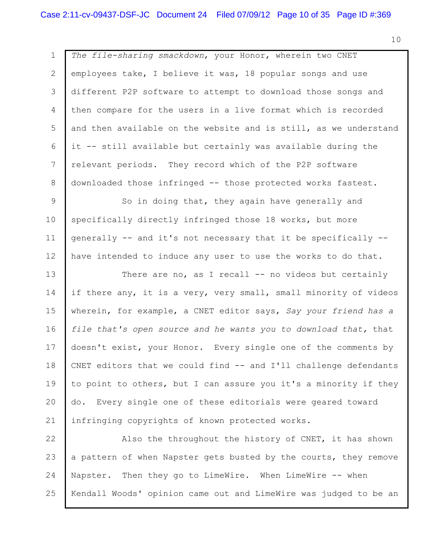1 2 3 4 5 6 7 8 9 10 11 12 13 14 15 16 17 18 19 20 21 *The file-sharing smackdown*, your Honor, wherein two CNET employees take, I believe it was, 18 popular songs and use different P2P software to attempt to download those songs and then compare for the users in a live format which is recorded and then available on the website and is still, as we understand it -- still available but certainly was available during the relevant periods. They record which of the P2P software downloaded those infringed -- those protected works fastest. So in doing that, they again have generally and specifically directly infringed those 18 works, but more generally -- and it's not necessary that it be specifically - have intended to induce any user to use the works to do that. There are no, as I recall -- no videos but certainly if there any, it is a very, very small, small minority of videos wherein, for example, a CNET editor says, *Say your friend has a file that's open source and he wants you to download that,* that doesn't exist, your Honor. Every single one of the comments by CNET editors that we could find -- and I'll challenge defendants to point to others, but I can assure you it's a minority if they do. Every single one of these editorials were geared toward infringing copyrights of known protected works.

22 23 24 25 Also the throughout the history of CNET, it has shown a pattern of when Napster gets busted by the courts, they remove Napster. Then they go to LimeWire. When LimeWire -- when Kendall Woods' opinion came out and LimeWire was judged to be an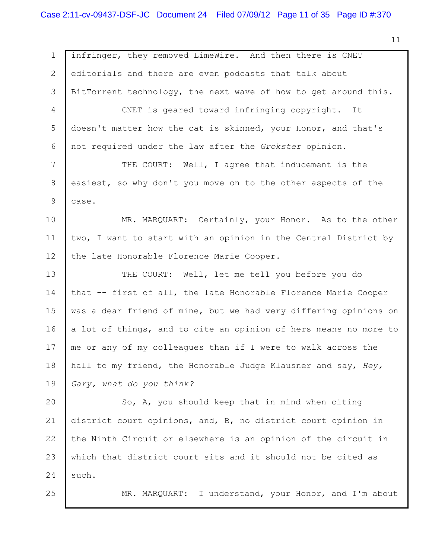1 2 3 4 5 6 7 8 9 10 11 12 13 14 15 16 17 18 19 20 21 22 23 24 25 infringer, they removed LimeWire. And then there is CNET editorials and there are even podcasts that talk about BitTorrent technology, the next wave of how to get around this. CNET is geared toward infringing copyright. It doesn't matter how the cat is skinned, your Honor, and that's not required under the law after the *Grokster* opinion. THE COURT: Well, I agree that inducement is the easiest, so why don't you move on to the other aspects of the case. MR. MARQUART: Certainly, your Honor. As to the other two, I want to start with an opinion in the Central District by the late Honorable Florence Marie Cooper. THE COURT: Well, let me tell you before you do that -- first of all, the late Honorable Florence Marie Cooper was a dear friend of mine, but we had very differing opinions on a lot of things, and to cite an opinion of hers means no more to me or any of my colleagues than if I were to walk across the hall to my friend, the Honorable Judge Klausner and say, *Hey, Gary, what do you think?* So, A, you should keep that in mind when citing district court opinions, and, B, no district court opinion in the Ninth Circuit or elsewhere is an opinion of the circuit in which that district court sits and it should not be cited as such. MR. MARQUART: I understand, your Honor, and I'm about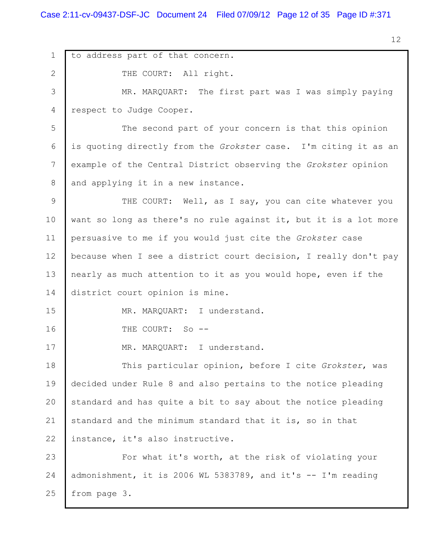1 2 3 4 5 6 7 8 9 10 11 12 13 14 15 16 17 18 19 20 21 22 23 24 25 to address part of that concern. THE COURT: All right. MR. MARQUART: The first part was I was simply paying respect to Judge Cooper. The second part of your concern is that this opinion is quoting directly from the *Grokster* case. I'm citing it as an example of the Central District observing the *Grokster* opinion and applying it in a new instance. THE COURT: Well, as I say, you can cite whatever you want so long as there's no rule against it, but it is a lot more persuasive to me if you would just cite the *Grokster* case because when I see a district court decision, I really don't pay nearly as much attention to it as you would hope, even if the district court opinion is mine. MR. MARQUART: I understand. THE COURT: So --MR. MARQUART: I understand. This particular opinion, before I cite *Grokster*, was decided under Rule 8 and also pertains to the notice pleading standard and has quite a bit to say about the notice pleading standard and the minimum standard that it is, so in that instance, it's also instructive. For what it's worth, at the risk of violating your admonishment, it is 2006 WL 5383789, and it's -- I'm reading from page 3.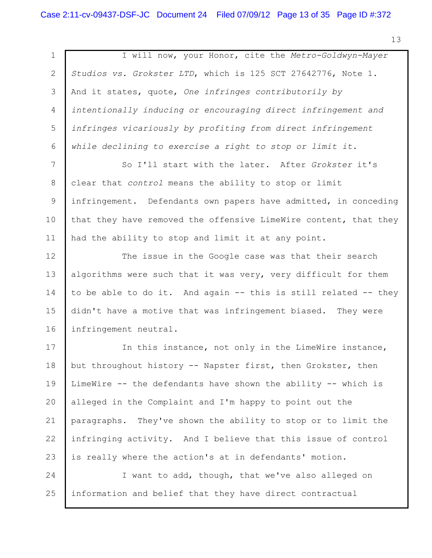| $\mathbf 1$ | I will now, your Honor, cite the Metro-Goldwyn-Mayer             |
|-------------|------------------------------------------------------------------|
|             |                                                                  |
| 2           | Studios vs. Grokster LTD, which is 125 SCT 27642776, Note 1.     |
| 3           | And it states, quote, One infringes contributorily by            |
| 4           | intentionally inducing or encouraging direct infringement and    |
| 5           | infringes vicariously by profiting from direct infringement      |
| 6           | while declining to exercise a right to stop or limit it.         |
| 7           | So I'll start with the later. After Grokster it's                |
| 8           | clear that control means the ability to stop or limit            |
| 9           | infringement. Defendants own papers have admitted, in conceding  |
| 10          | that they have removed the offensive LimeWire content, that they |
| 11          | had the ability to stop and limit it at any point.               |
| 12          | The issue in the Google case was that their search               |
| 13          | algorithms were such that it was very, very difficult for them   |
| 14          | to be able to do it. And again -- this is still related -- they  |
| 15          | didn't have a motive that was infringement biased. They were     |
| 16          | infringement neutral.                                            |
| 17          | In this instance, not only in the LimeWire instance,             |
| 18          | but throughout history -- Napster first, then Grokster, then     |
| 19          | LimeWire -- the defendants have shown the ability -- which is    |
| 20          | alleged in the Complaint and I'm happy to point out the          |
| 21          | paragraphs. They've shown the ability to stop or to limit the    |
| 22          | infringing activity. And I believe that this issue of control    |
| 23          | is really where the action's at in defendants' motion.           |
| 24          | I want to add, though, that we've also alleged on                |
| 25          | information and belief that they have direct contractual         |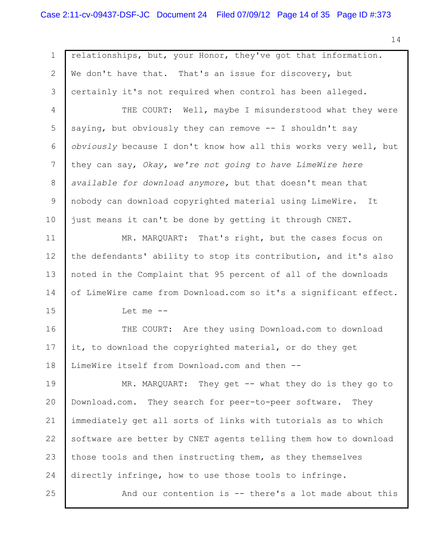1 2 3 4 5 6 7 8 9 10 11 12 13 14 15 16 17 18 19 20 21 22 23 24 25 relationships, but, your Honor, they've got that information. We don't have that. That's an issue for discovery, but certainly it's not required when control has been alleged. THE COURT: Well, maybe I misunderstood what they were saying, but obviously they can remove -- I shouldn't say *obviously* because I don't know how all this works very well, but they can say, *Okay, we're not going to have LimeWire here available for download anymore,* but that doesn't mean that nobody can download copyrighted material using LimeWire. It just means it can't be done by getting it through CNET. MR. MARQUART: That's right, but the cases focus on the defendants' ability to stop its contribution, and it's also noted in the Complaint that 95 percent of all of the downloads of LimeWire came from Download.com so it's a significant effect. Let me -- THE COURT: Are they using Download.com to download it, to download the copyrighted material, or do they get LimeWire itself from Download.com and then -- MR. MARQUART: They get -- what they do is they go to Download.com. They search for peer-to-peer software. They immediately get all sorts of links with tutorials as to which software are better by CNET agents telling them how to download those tools and then instructing them, as they themselves directly infringe, how to use those tools to infringe. And our contention is -- there's a lot made about this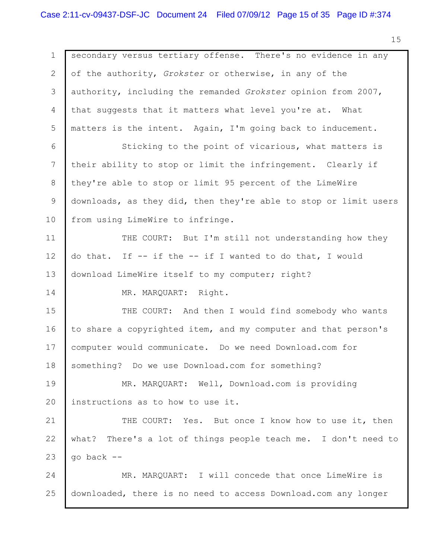1 2 3 4 5 6 7 8 9 10 11 12 13 14 15 16 17 18 19 20 21 22 23 24 25 secondary versus tertiary offense. There's no evidence in any of the authority, *Grokster* or otherwise, in any of the authority, including the remanded *Grokster* opinion from 2007, that suggests that it matters what level you're at. What matters is the intent. Again, I'm going back to inducement. Sticking to the point of vicarious, what matters is their ability to stop or limit the infringement. Clearly if they're able to stop or limit 95 percent of the LimeWire downloads, as they did, then they're able to stop or limit users from using LimeWire to infringe. THE COURT: But I'm still not understanding how they do that. If -- if the -- if I wanted to do that, I would download LimeWire itself to my computer; right? MR. MARQUART: Right. THE COURT: And then I would find somebody who wants to share a copyrighted item, and my computer and that person's computer would communicate. Do we need Download.com for something? Do we use Download.com for something? MR. MARQUART: Well, Download.com is providing instructions as to how to use it. THE COURT: Yes. But once I know how to use it, then what? There's a lot of things people teach me. I don't need to go back -- MR. MARQUART: I will concede that once LimeWire is downloaded, there is no need to access Download.com any longer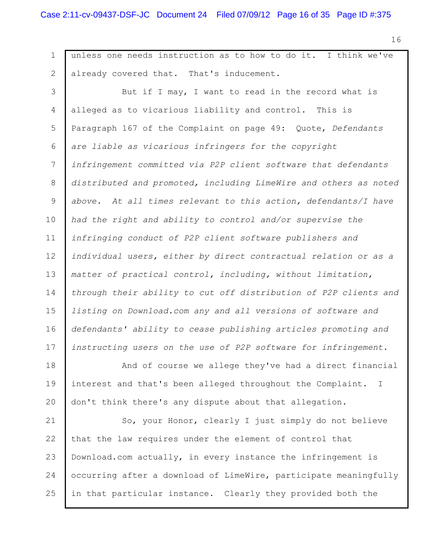1 2 3 4 5 6 7 8 9 10 11 12 13 14 15 16 17 18 19 20 21 unless one needs instruction as to how to do it. I think we've already covered that. That's inducement. But if I may, I want to read in the record what is alleged as to vicarious liability and control. This is Paragraph 167 of the Complaint on page 49: Quote, *Defendants are liable as vicarious infringers for the copyright infringement committed via P2P client software that defendants distributed and promoted, including LimeWire and others as noted above. At all times relevant to this action, defendants/I have had the right and ability to control and/or supervise the infringing conduct of P2P client software publishers and individual users, either by direct contractual relation or as a matter of practical control, including, without limitation, through their ability to cut off distribution of P2P clients and listing on Download.com any and all versions of software and defendants' ability to cease publishing articles promoting and instructing users on the use of P2P software for infringement.* And of course we allege they've had a direct financial interest and that's been alleged throughout the Complaint. I don't think there's any dispute about that allegation. So, your Honor, clearly I just simply do not believe

22 23 24 25 that the law requires under the element of control that Download.com actually, in every instance the infringement is occurring after a download of LimeWire, participate meaningfully in that particular instance. Clearly they provided both the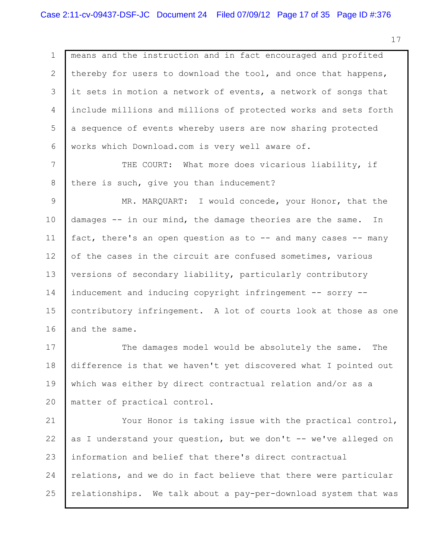1 2 3 4 5 6 7 8 9 10 11 12 13 14 15 16 17 18 19 20 21 22 23 24 25 means and the instruction and in fact encouraged and profited thereby for users to download the tool, and once that happens, it sets in motion a network of events, a network of songs that include millions and millions of protected works and sets forth a sequence of events whereby users are now sharing protected works which Download.com is very well aware of. THE COURT: What more does vicarious liability, if there is such, give you than inducement? MR. MARQUART: I would concede, your Honor, that the damages -- in our mind, the damage theories are the same. In fact, there's an open question as to -- and many cases -- many of the cases in the circuit are confused sometimes, various versions of secondary liability, particularly contributory inducement and inducing copyright infringement -- sorry - contributory infringement. A lot of courts look at those as one and the same. The damages model would be absolutely the same. The difference is that we haven't yet discovered what I pointed out which was either by direct contractual relation and/or as a matter of practical control. Your Honor is taking issue with the practical control, as I understand your question, but we don't -- we've alleged on information and belief that there's direct contractual relations, and we do in fact believe that there were particular relationships. We talk about a pay-per-download system that was

17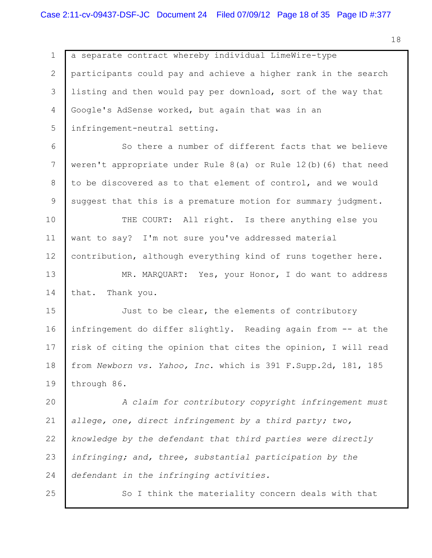1 2 3 4 5 6 7 8 9 10 11 12 13 14 15 16 17 18 19 20 21 22 23 24 25 a separate contract whereby individual LimeWire-type participants could pay and achieve a higher rank in the search listing and then would pay per download, sort of the way that Google's AdSense worked, but again that was in an infringement-neutral setting. So there a number of different facts that we believe weren't appropriate under Rule 8(a) or Rule 12(b)(6) that need to be discovered as to that element of control, and we would suggest that this is a premature motion for summary judgment. THE COURT: All right. Is there anything else you want to say? I'm not sure you've addressed material contribution, although everything kind of runs together here. MR. MARQUART: Yes, your Honor, I do want to address that. Thank you. Just to be clear, the elements of contributory infringement do differ slightly. Reading again from -- at the risk of citing the opinion that cites the opinion, I will read from *Newborn vs. Yahoo, Inc.* which is 391 F.Supp.2d, 181, 185 through 86. *A claim for contributory copyright infringement must allege, one, direct infringement by a third party; two, knowledge by the defendant that third parties were directly infringing; and, three, substantial participation by the defendant in the infringing activities.* So I think the materiality concern deals with that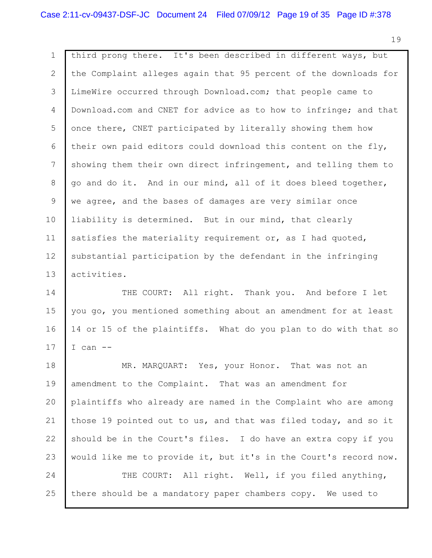1 2 3 4 5 6 7 8 9 10 11 12 13 third prong there. It's been described in different ways, but the Complaint alleges again that 95 percent of the downloads for LimeWire occurred through Download.com; that people came to Download.com and CNET for advice as to how to infringe; and that once there, CNET participated by literally showing them how their own paid editors could download this content on the fly, showing them their own direct infringement, and telling them to go and do it. And in our mind, all of it does bleed together, we agree, and the bases of damages are very similar once liability is determined. But in our mind, that clearly satisfies the materiality requirement or, as I had quoted, substantial participation by the defendant in the infringing activities.

14 15 16 17 THE COURT: All right. Thank you. And before I let you go, you mentioned something about an amendment for at least 14 or 15 of the plaintiffs. What do you plan to do with that so  $I$  can  $-$ 

18 19 20 21 22 23 24 25 MR. MARQUART: Yes, your Honor. That was not an amendment to the Complaint. That was an amendment for plaintiffs who already are named in the Complaint who are among those 19 pointed out to us, and that was filed today, and so it should be in the Court's files. I do have an extra copy if you would like me to provide it, but it's in the Court's record now. THE COURT: All right. Well, if you filed anything, there should be a mandatory paper chambers copy. We used to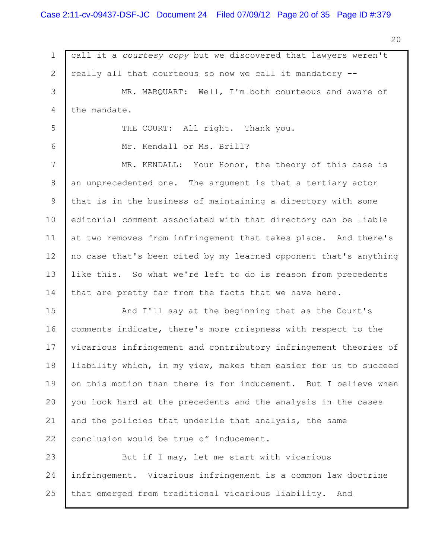1 2 3 4 5 6 7 8 9 10 11 12 13 14 15 16 17 18 19 20 21 22 23 24 25 call it a *courtesy copy* but we discovered that lawyers weren't really all that courteous so now we call it mandatory -- MR. MARQUART: Well, I'm both courteous and aware of the mandate. THE COURT: All right. Thank you. Mr. Kendall or Ms. Brill? MR. KENDALL: Your Honor, the theory of this case is an unprecedented one. The argument is that a tertiary actor that is in the business of maintaining a directory with some editorial comment associated with that directory can be liable at two removes from infringement that takes place. And there's no case that's been cited by my learned opponent that's anything like this. So what we're left to do is reason from precedents that are pretty far from the facts that we have here. And I'll say at the beginning that as the Court's comments indicate, there's more crispness with respect to the vicarious infringement and contributory infringement theories of liability which, in my view, makes them easier for us to succeed on this motion than there is for inducement. But I believe when you look hard at the precedents and the analysis in the cases and the policies that underlie that analysis, the same conclusion would be true of inducement. But if I may, let me start with vicarious infringement. Vicarious infringement is a common law doctrine that emerged from traditional vicarious liability. And

20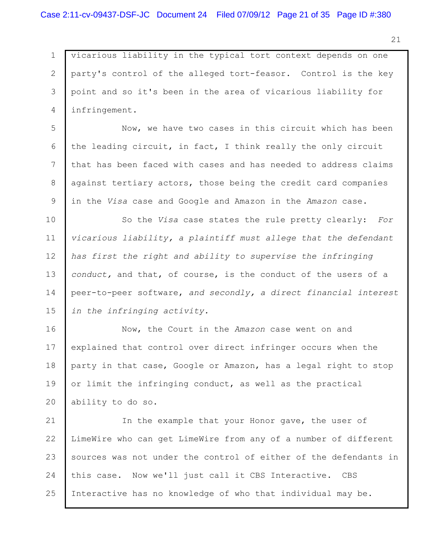1 2 3 4 vicarious liability in the typical tort context depends on one party's control of the alleged tort-feasor. Control is the key point and so it's been in the area of vicarious liability for infringement.

5 6 7 8 9 Now, we have two cases in this circuit which has been the leading circuit, in fact, I think really the only circuit that has been faced with cases and has needed to address claims against tertiary actors, those being the credit card companies in the *Visa* case and Google and Amazon in the *Amazon* case.

10 11 12 13 14 15 So the *Visa* case states the rule pretty clearly: *For vicarious liability, a plaintiff must allege that the defendant has first the right and ability to supervise the infringing conduct,* and that, of course, is the conduct of the users of a peer-to-peer software, *and secondly, a direct financial interest in the infringing activity.*

16 17 18 19 20 Now, the Court in the *Amazon* case went on and explained that control over direct infringer occurs when the party in that case, Google or Amazon, has a legal right to stop or limit the infringing conduct, as well as the practical ability to do so.

21 22 23 24 25 In the example that your Honor gave, the user of LimeWire who can get LimeWire from any of a number of different sources was not under the control of either of the defendants in this case. Now we'll just call it CBS Interactive. CBS Interactive has no knowledge of who that individual may be.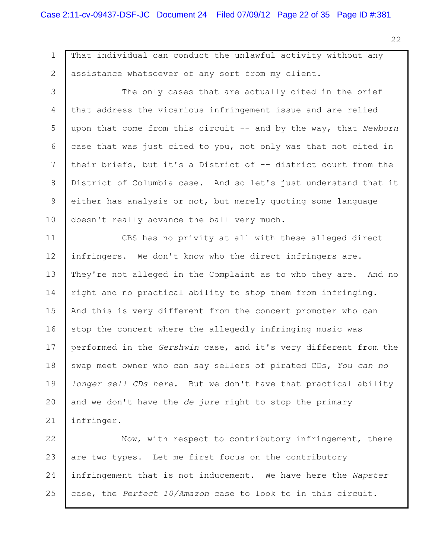1 2 3 4 5 6 7 8 9 10 11 12 13 14 15 16 17 18 19 20 21 22 23 That individual can conduct the unlawful activity without any assistance whatsoever of any sort from my client. The only cases that are actually cited in the brief that address the vicarious infringement issue and are relied upon that come from this circuit -- and by the way, that *Newborn* case that was just cited to you, not only was that not cited in their briefs, but it's a District of -- district court from the District of Columbia case. And so let's just understand that it either has analysis or not, but merely quoting some language doesn't really advance the ball very much. CBS has no privity at all with these alleged direct infringers. We don't know who the direct infringers are. They're not alleged in the Complaint as to who they are. And no right and no practical ability to stop them from infringing. And this is very different from the concert promoter who can stop the concert where the allegedly infringing music was performed in the *Gershwin* case, and it's very different from the swap meet owner who can say sellers of pirated CDs, *You can no longer sell CDs here.* But we don't have that practical ability and we don't have the *de jure* right to stop the primary infringer. Now, with respect to contributory infringement, there are two types. Let me first focus on the contributory

24 25 infringement that is not inducement. We have here the *Napster* case, the *Perfect 10/Amazon* case to look to in this circuit.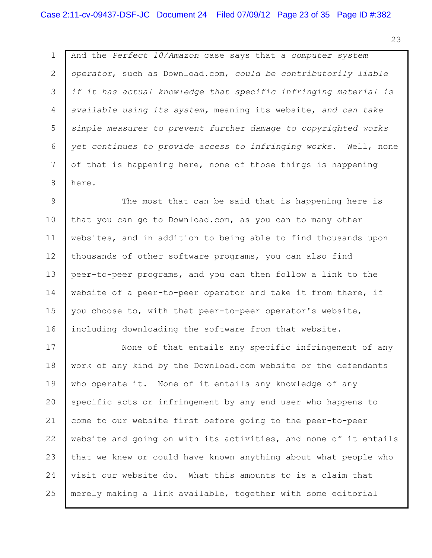1 2 3 4 5 6 7 8 And the *Perfect 10/Amazon* case says that *a computer system operator*, such as Download.com, *could be contributorily liable if it has actual knowledge that specific infringing material is available using its system,* meaning its website, *and can take simple measures to prevent further damage to copyrighted works yet continues to provide access to infringing works.* Well, none of that is happening here, none of those things is happening here.

9 10 11 12 13 14 15 16 The most that can be said that is happening here is that you can go to Download.com, as you can to many other websites, and in addition to being able to find thousands upon thousands of other software programs, you can also find peer-to-peer programs, and you can then follow a link to the website of a peer-to-peer operator and take it from there, if you choose to, with that peer-to-peer operator's website, including downloading the software from that website.

17 18 19 20 21 22 23 24 25 None of that entails any specific infringement of any work of any kind by the Download.com website or the defendants who operate it. None of it entails any knowledge of any specific acts or infringement by any end user who happens to come to our website first before going to the peer-to-peer website and going on with its activities, and none of it entails that we knew or could have known anything about what people who visit our website do. What this amounts to is a claim that merely making a link available, together with some editorial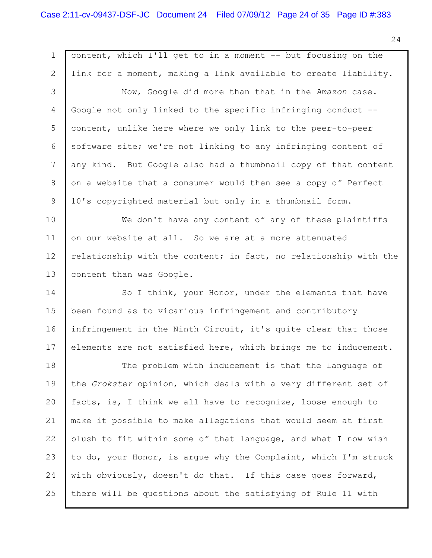1 2 3 4 5 6 7 8 9 10 11 12 13 14 15 16 17 18 19 20 21 22 23 24 25 content, which I'll get to in a moment -- but focusing on the link for a moment, making a link available to create liability. Now, Google did more than that in the *Amazon* case. Google not only linked to the specific infringing conduct - content, unlike here where we only link to the peer-to-peer software site; we're not linking to any infringing content of any kind. But Google also had a thumbnail copy of that content on a website that a consumer would then see a copy of Perfect 10's copyrighted material but only in a thumbnail form. We don't have any content of any of these plaintiffs on our website at all. So we are at a more attenuated relationship with the content; in fact, no relationship with the content than was Google. So I think, your Honor, under the elements that have been found as to vicarious infringement and contributory infringement in the Ninth Circuit, it's quite clear that those elements are not satisfied here, which brings me to inducement. The problem with inducement is that the language of the *Grokster* opinion, which deals with a very different set of facts, is, I think we all have to recognize, loose enough to make it possible to make allegations that would seem at first blush to fit within some of that language, and what I now wish to do, your Honor, is argue why the Complaint, which I'm struck with obviously, doesn't do that. If this case goes forward, there will be questions about the satisfying of Rule 11 with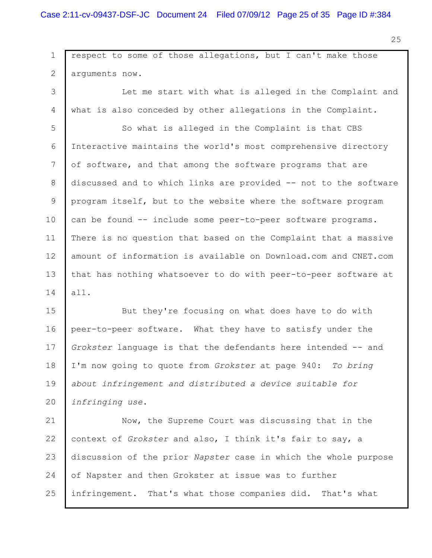1 2 3 4 5 6 7 8 9 10 11 12 13 14 15 16 respect to some of those allegations, but I can't make those arguments now. Let me start with what is alleged in the Complaint and what is also conceded by other allegations in the Complaint. So what is alleged in the Complaint is that CBS Interactive maintains the world's most comprehensive directory of software, and that among the software programs that are discussed and to which links are provided -- not to the software program itself, but to the website where the software program can be found -- include some peer-to-peer software programs. There is no question that based on the Complaint that a massive amount of information is available on Download.com and CNET.com that has nothing whatsoever to do with peer-to-peer software at all. But they're focusing on what does have to do with peer-to-peer software. What they have to satisfy under the

17 18 19 20 *Grokster* language is that the defendants here intended -- and I'm now going to quote from *Grokster* at page 940: *To bring about infringement and distributed a device suitable for infringing use*.

21 22 23 24 25 Now, the Supreme Court was discussing that in the context of *Grokster* and also, I think it's fair to say, a discussion of the prior *Napster* case in which the whole purpose of Napster and then Grokster at issue was to further infringement. That's what those companies did. That's what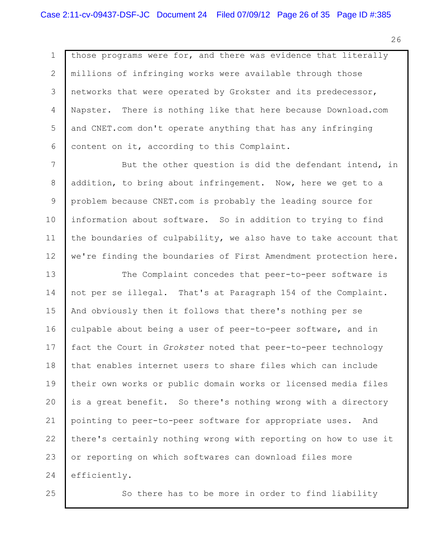1 2 3 4 5 6 those programs were for, and there was evidence that literally millions of infringing works were available through those networks that were operated by Grokster and its predecessor, Napster. There is nothing like that here because Download.com and CNET.com don't operate anything that has any infringing content on it, according to this Complaint.

7 8 9 10 11 12 But the other question is did the defendant intend, in addition, to bring about infringement. Now, here we get to a problem because CNET.com is probably the leading source for information about software. So in addition to trying to find the boundaries of culpability, we also have to take account that we're finding the boundaries of First Amendment protection here.

13 14 15 16 17 18 19 20 21 22 23 24 The Complaint concedes that peer-to-peer software is not per se illegal. That's at Paragraph 154 of the Complaint. And obviously then it follows that there's nothing per se culpable about being a user of peer-to-peer software, and in fact the Court in *Grokster* noted that peer-to-peer technology that enables internet users to share files which can include their own works or public domain works or licensed media files is a great benefit. So there's nothing wrong with a directory pointing to peer-to-peer software for appropriate uses. And there's certainly nothing wrong with reporting on how to use it or reporting on which softwares can download files more efficiently.

25

So there has to be more in order to find liability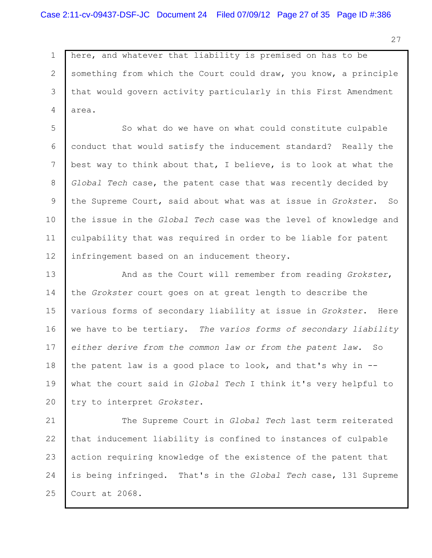1 2 3 4 here, and whatever that liability is premised on has to be something from which the Court could draw, you know, a principle that would govern activity particularly in this First Amendment area.

5 6 7 8 9 10 11 12 So what do we have on what could constitute culpable conduct that would satisfy the inducement standard? Really the best way to think about that, I believe, is to look at what the *Global Tech* case, the patent case that was recently decided by the Supreme Court, said about what was at issue in *Grokster*. So the issue in the *Global Tech* case was the level of knowledge and culpability that was required in order to be liable for patent infringement based on an inducement theory.

13 14 15 16 17 18 19 20 And as the Court will remember from reading *Grokster*, the *Grokster* court goes on at great length to describe the various forms of secondary liability at issue in *Grokster*. Here we have to be tertiary. *The varios forms of secondary liability either derive from the common law or from the patent law.* So the patent law is a good place to look, and that's why in - what the court said in *Global Tech* I think it's very helpful to try to interpret *Grokster*.

21 22 23 24 25 The Supreme Court in *Global Tech* last term reiterated that inducement liability is confined to instances of culpable action requiring knowledge of the existence of the patent that is being infringed. That's in the *Global Tech* case, 131 Supreme Court at 2068.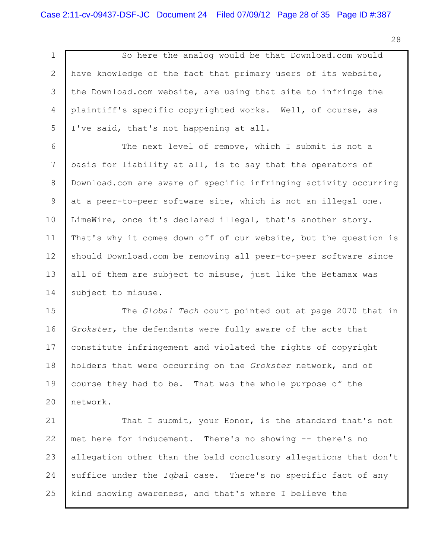1 2 3 4 5 So here the analog would be that Download.com would have knowledge of the fact that primary users of its website, the Download.com website, are using that site to infringe the plaintiff's specific copyrighted works. Well, of course, as I've said, that's not happening at all.

6 7 8 9 10 11 12 13 14 The next level of remove, which I submit is not a basis for liability at all, is to say that the operators of Download.com are aware of specific infringing activity occurring at a peer-to-peer software site, which is not an illegal one. LimeWire, once it's declared illegal, that's another story. That's why it comes down off of our website, but the question is should Download.com be removing all peer-to-peer software since all of them are subject to misuse, just like the Betamax was subject to misuse.

15 16 17 18 19 20 The *Global Tech* court pointed out at page 2070 that in *Grokster,* the defendants were fully aware of the acts that constitute infringement and violated the rights of copyright holders that were occurring on the *Grokster* network, and of course they had to be. That was the whole purpose of the network.

21 22 23 24 25 That I submit, your Honor, is the standard that's not met here for inducement. There's no showing -- there's no allegation other than the bald conclusory allegations that don't suffice under the *Iqbal* case. There's no specific fact of any kind showing awareness, and that's where I believe the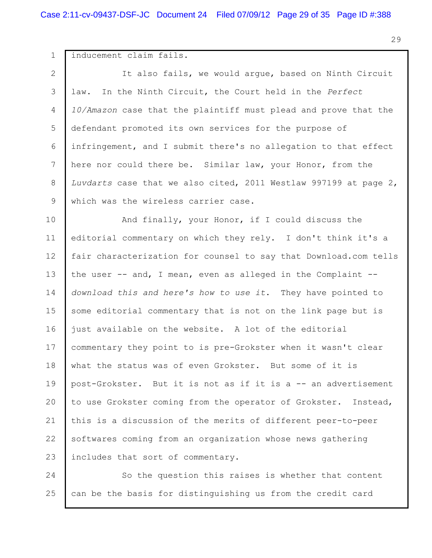1 2 3 4 5 6 7 8 9 10 11 12 13 14 15 16 17 18 19 20 21 22 23 24 inducement claim fails. It also fails, we would argue, based on Ninth Circuit law. In the Ninth Circuit, the Court held in the *Perfect 10/Amazon* case that the plaintiff must plead and prove that the defendant promoted its own services for the purpose of infringement, and I submit there's no allegation to that effect here nor could there be. Similar law, your Honor, from the *Luvdarts* case that we also cited, 2011 Westlaw 997199 at page 2, which was the wireless carrier case. And finally, your Honor, if I could discuss the editorial commentary on which they rely. I don't think it's a fair characterization for counsel to say that Download.com tells the user -- and, I mean, even as alleged in the Complaint - *download this and here's how to use it*. They have pointed to some editorial commentary that is not on the link page but is just available on the website. A lot of the editorial commentary they point to is pre-Grokster when it wasn't clear what the status was of even Grokster. But some of it is post-Grokster. But it is not as if it is a -- an advertisement to use Grokster coming from the operator of Grokster. Instead, this is a discussion of the merits of different peer-to-peer softwares coming from an organization whose news gathering includes that sort of commentary. So the question this raises is whether that content

can be the basis for distinguishing us from the credit card

25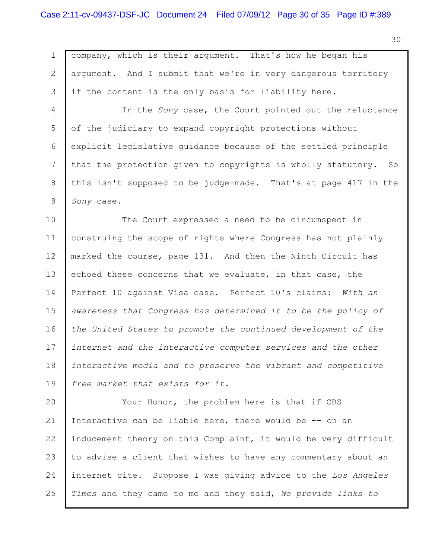1 2 3 4 5 6 7 8 9 10 11 12 13 14 15 16 17 18 19 20 21 22 23 24 company, which is their argument. That's how he began his argument. And I submit that we're in very dangerous territory if the content is the only basis for liability here. In the *Sony* case, the Court pointed out the reluctance of the judiciary to expand copyright protections without explicit legislative guidance because of the settled principle that the protection given to copyrights is wholly statutory. So this isn't supposed to be judge-made. That's at page 417 in the *Sony* case. The Court expressed a need to be circumspect in construing the scope of rights where Congress has not plainly marked the course, page 131. And then the Ninth Circuit has echoed these concerns that we evaluate, in that case, the Perfect 10 against Visa case. Perfect 10's claims: *With an awareness that Congress has determined it to be the policy of the United States to promote the continued development of the internet and the interactive computer services and the other interactive media and to preserve the vibrant and competitive free market that exists for it.* Your Honor, the problem here is that if CBS Interactive can be liable here, there would be -- on an inducement theory on this Complaint, it would be very difficult to advise a client that wishes to have any commentary about an internet cite. Suppose I was giving advice to the *Los Angeles*

25 *Times* and they came to me and they said, *We provide links to*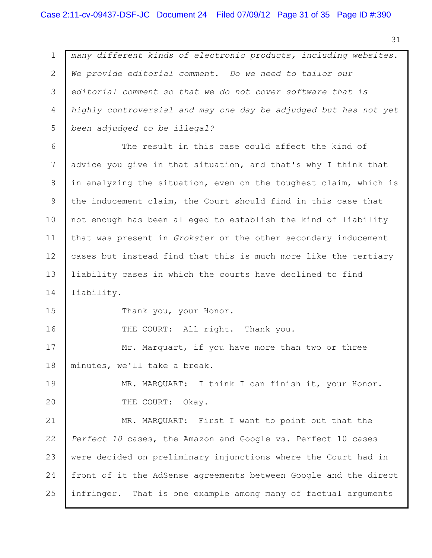1 2 3 4 5 6 7 8 9 10 11 12 13 14 15 16 17 18 19 20 21 22 23 24 25 *many different kinds of electronic products, including websites. We provide editorial comment. Do we need to tailor our editorial comment so that we do not cover software that is highly controversial and may one day be adjudged but has not yet been adjudged to be illegal?* The result in this case could affect the kind of advice you give in that situation, and that's why I think that in analyzing the situation, even on the toughest claim, which is the inducement claim, the Court should find in this case that not enough has been alleged to establish the kind of liability that was present in *Grokster* or the other secondary inducement cases but instead find that this is much more like the tertiary liability cases in which the courts have declined to find liability. Thank you, your Honor. THE COURT: All right. Thank you. Mr. Marquart, if you have more than two or three minutes, we'll take a break. MR. MARQUART: I think I can finish it, your Honor. THE COURT: Okay. MR. MARQUART: First I want to point out that the *Perfect 10* cases, the Amazon and Google vs. Perfect 10 cases were decided on preliminary injunctions where the Court had in front of it the AdSense agreements between Google and the direct infringer. That is one example among many of factual arguments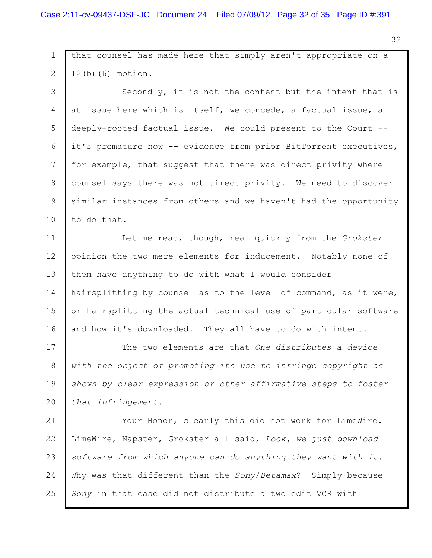1 2 3 4 5 6 7 8 9 10 11 12 13 14 15 16 17 18 19 20 21 22 23 24 25 that counsel has made here that simply aren't appropriate on a 12(b)(6) motion. Secondly, it is not the content but the intent that is at issue here which is itself, we concede, a factual issue, a deeply-rooted factual issue. We could present to the Court - it's premature now -- evidence from prior BitTorrent executives, for example, that suggest that there was direct privity where counsel says there was not direct privity. We need to discover similar instances from others and we haven't had the opportunity to do that. Let me read, though, real quickly from the *Grokster* opinion the two mere elements for inducement. Notably none of them have anything to do with what I would consider hairsplitting by counsel as to the level of command, as it were, or hairsplitting the actual technical use of particular software and how it's downloaded. They all have to do with intent. The two elements are that *One distributes a device with the object of promoting its use to infringe copyright as shown by clear expression or other affirmative steps to foster that infringement.* Your Honor, clearly this did not work for LimeWire. LimeWire, Napster, Grokster all said, *Look, we just download software from which anyone can do anything they want with it.* Why was that different than the *Sony*/*Betamax*? Simply because *Sony* in that case did not distribute a two edit VCR with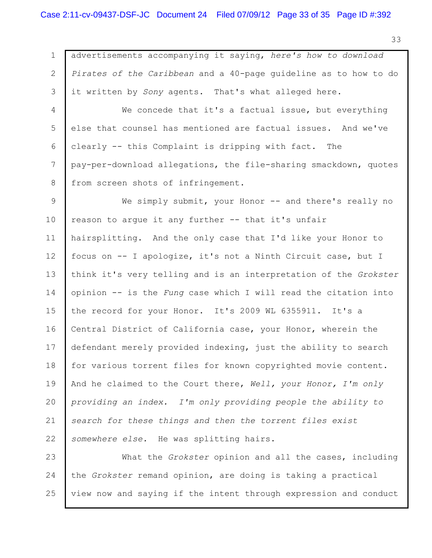1 2 3 4 5 6 7 8 9 10 11 12 13 14 15 16 17 18 19 20 21 22 advertisements accompanying it saying, *here's how to download Pirates of the Caribbean* and a 40-page guideline as to how to do it written by *Sony* agents. That's what alleged here. We concede that it's a factual issue, but everything else that counsel has mentioned are factual issues. And we've clearly -- this Complaint is dripping with fact. The pay-per-download allegations, the file-sharing smackdown, quotes from screen shots of infringement. We simply submit, your Honor -- and there's really no reason to argue it any further -- that it's unfair hairsplitting. And the only case that I'd like your Honor to focus on -- I apologize, it's not a Ninth Circuit case, but I think it's very telling and is an interpretation of the *Grokster* opinion -- is the *Fung* case which I will read the citation into the record for your Honor. It's 2009 WL 6355911. It's a Central District of California case, your Honor, wherein the defendant merely provided indexing, just the ability to search for various torrent files for known copyrighted movie content. And he claimed to the Court there, *Well, your Honor, I'm only providing an index. I'm only providing people the ability to search for these things and then the torrent files exist somewhere else.* He was splitting hairs.

23 24 25 What the *Grokster* opinion and all the cases, including the *Grokster* remand opinion, are doing is taking a practical view now and saying if the intent through expression and conduct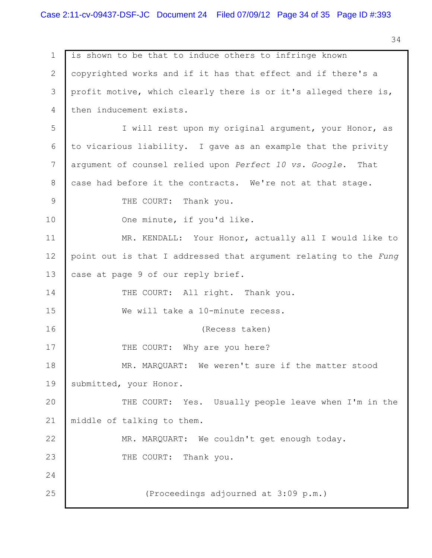1 2 3 4 5 6 7 8 9 10 11 12 13 14 15 16 17 18 19 20 21 22 23 24 25 is shown to be that to induce others to infringe known copyrighted works and if it has that effect and if there's a profit motive, which clearly there is or it's alleged there is, then inducement exists. I will rest upon my original argument, your Honor, as to vicarious liability. I gave as an example that the privity argument of counsel relied upon *Perfect 10 vs. Google*. That case had before it the contracts. We're not at that stage. THE COURT: Thank you. One minute, if you'd like. MR. KENDALL: Your Honor, actually all I would like to point out is that I addressed that argument relating to the *Fung* case at page 9 of our reply brief. THE COURT: All right. Thank you. We will take a 10-minute recess. (Recess taken) THE COURT: Why are you here? MR. MARQUART: We weren't sure if the matter stood submitted, your Honor. THE COURT: Yes. Usually people leave when I'm in the middle of talking to them. MR. MARQUART: We couldn't get enough today. THE COURT: Thank you. (Proceedings adjourned at 3:09 p.m.)